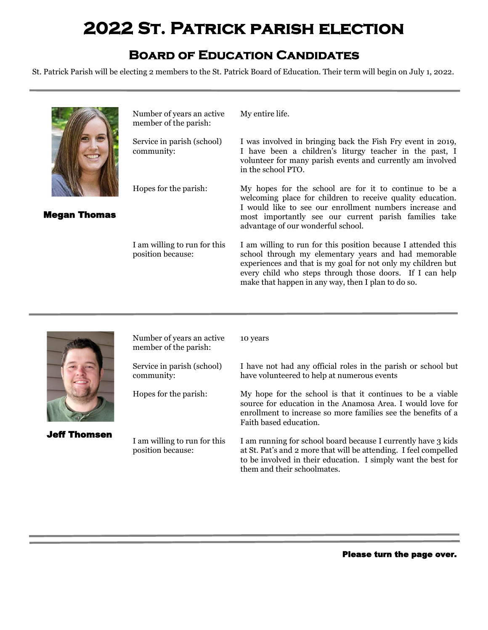# **2022 St. Patrick parish election**

### **Board of Education Candidates**

St. Patrick Parish will be electing 2 members to the St. Patrick Board of Education. Their term will begin on July 1, 2022.



Number of years an active member of the parish:

Service in parish (school) community:

Megan Thomas

Hopes for the parish:

I am willing to run for this position because:

My entire life.

I was involved in bringing back the Fish Fry event in 2019, I have been a children's liturgy teacher in the past, I volunteer for many parish events and currently am involved in the school PTO.

My hopes for the school are for it to continue to be a welcoming place for children to receive quality education. I would like to see our enrollment numbers increase and most importantly see our current parish families take advantage of our wonderful school.

I am willing to run for this position because I attended this school through my elementary years and had memorable experiences and that is my goal for not only my children but every child who steps through those doors. If I can help make that happen in any way, then I plan to do so.



Jeff Thomsen

Number of years an active member of the parish:

Service in parish (school) community:

Hopes for the parish:

I am willing to run for this position because:

10 years

I have not had any official roles in the parish or school but have volunteered to help at numerous events

My hope for the school is that it continues to be a viable source for education in the Anamosa Area. I would love for enrollment to increase so more families see the benefits of a Faith based education.

I am running for school board because I currently have 3 kids at St. Pat's and 2 more that will be attending. I feel compelled to be involved in their education. I simply want the best for them and their schoolmates.